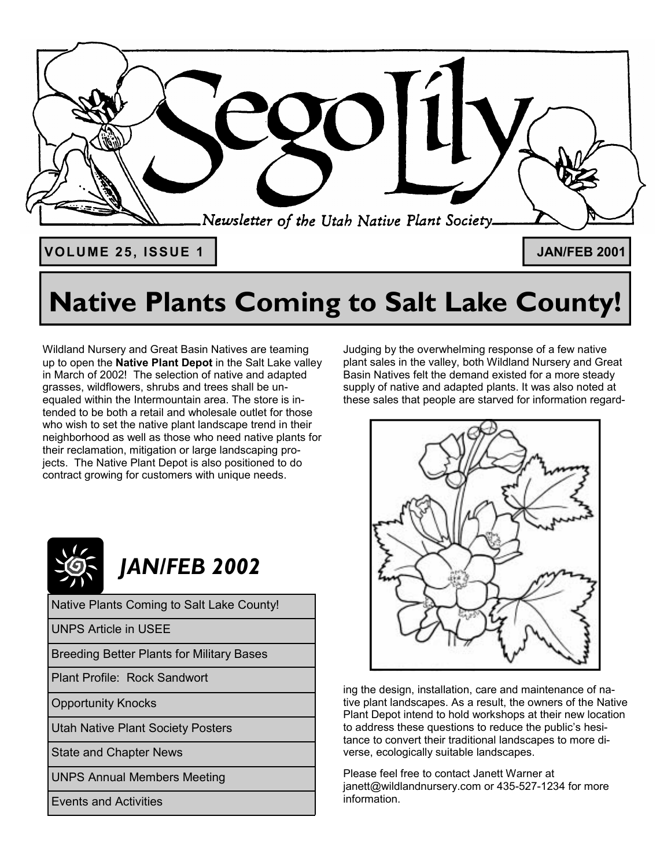

# **Native Plants Coming to Salt Lake County!**

Wildland Nursery and Great Basin Natives are teaming up to open the **Native Plant Depot** in the Salt Lake valley in March of 2002! The selection of native and adapted grasses, wildflowers, shrubs and trees shall be unequaled within the Intermountain area. The store is intended to be both a retail and wholesale outlet for those who wish to set the native plant landscape trend in their neighborhood as well as those who need native plants for their reclamation, mitigation or large landscaping projects. The Native Plant Depot is also positioned to do contract growing for customers with unique needs.



Native Plants Coming to Salt Lake County!

UNPS Article in USEE

Breeding Better Plants for Military Bases

Plant Profile: Rock Sandwort

Opportunity Knocks

Utah Native Plant Society Posters

State and Chapter News

UNPS Annual Members Meeting

Events and Activities

Judging by the overwhelming response of a few native plant sales in the valley, both Wildland Nursery and Great Basin Natives felt the demand existed for a more steady supply of native and adapted plants. It was also noted at these sales that people are starved for information regard-



ing the design, installation, care and maintenance of native plant landscapes. As a result, the owners of the Native Plant Depot intend to hold workshops at their new location to address these questions to reduce the public's hesitance to convert their traditional landscapes to more diverse, ecologically suitable landscapes.

Please feel free to contact Janett Warner at janett@wildlandnursery.com or 435-527-1234 for more information.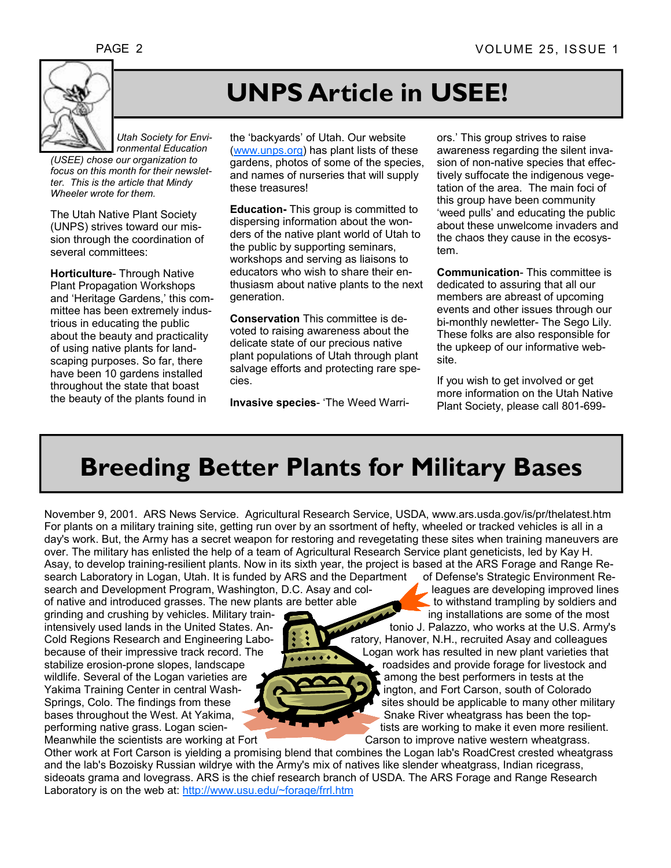

## **UNPS Article in USEE!**

*Utah Society for Environmental Education* 

*(USEE) chose our organization to focus on this month for their newsletter. This is the article that Mindy Wheeler wrote for them.*

The Utah Native Plant Society (UNPS) strives toward our mission through the coordination of several committees:

**Horticulture**- Through Native Plant Propagation Workshops and 'Heritage Gardens,' this committee has been extremely industrious in educating the public about the beauty and practicality of using native plants for landscaping purposes. So far, there have been 10 gardens installed throughout the state that boast the beauty of the plants found in

the 'backyards' of Utah. Our website (www.unps.org) has plant lists of these gardens, photos of some of the species, and names of nurseries that will supply these treasures!

**Education-** This group is committed to dispersing information about the wonders of the native plant world of Utah to the public by supporting seminars, workshops and serving as liaisons to educators who wish to share their enthusiasm about native plants to the next generation.

**Conservation** This committee is devoted to raising awareness about the delicate state of our precious native plant populations of Utah through plant salvage efforts and protecting rare species.

**Invasive species**- 'The Weed Warri-

ors.' This group strives to raise awareness regarding the silent invasion of non-native species that effectively suffocate the indigenous vegetation of the area. The main foci of this group have been community 'weed pulls' and educating the public about these unwelcome invaders and the chaos they cause in the ecosystem.

**Communication**- This committee is dedicated to assuring that all our members are abreast of upcoming events and other issues through our bi-monthly newletter- The Sego Lily. These folks are also responsible for the upkeep of our informative website.

If you wish to get involved or get more information on the Utah Native Plant Society, please call 801-699-

### **Breeding Better Plants for Military Bases**

November 9, 2001. ARS News Service. Agricultural Research Service, USDA, www.ars.usda.gov/is/pr/thelatest.htm For plants on a military training site, getting run over by an ssortment of hefty, wheeled or tracked vehicles is all in a day's work. But, the Army has a secret weapon for restoring and revegetating these sites when training maneuvers are over. The military has enlisted the help of a team of Agricultural Research Service plant geneticists, led by Kay H. Asay, to develop training-resilient plants. Now in its sixth year, the project is based at the ARS Forage and Range Research Laboratory in Logan, Utah. It is funded by ARS and the Department of Defense's Strategic Environment Re-<br>search and Development Program, Washington, D.C. Asay and col-<br>eagues are developing improved lines

search and Development Program, Washington, D.C. Asay and colof native and introduced grasses. The new plants are better able to withstand trampling by soldiers and

grinding and crushing by vehicles. Military trainintensively used lands in the United States. Anstabilize erosion-prone slopes, landscape roadsides and provide forage for livestock and wildlife. Several of the Logan varieties are  $\sqrt{a}$  among the best performers in tests at the Yakima Training Center in central Wash- **ington, and Fort Carson**, south of Colorado bases throughout the West. At Yakima, Snake River wheatgrass has been the top-

Meanwhile the scientists are working at Fort Carson to improve native western wheatgrass.

Cold Regions Research and Engineering Labo-  $\mathbf{R}$   $\mathbf{C}$  ratory, Hanover, N.H., recruited Asay and colleagues because of their impressive track record. The Logan work has resulted in new plant varieties that

Springs, Colo. The findings from these strategy is stess should be applicable to many other military performing native grass. Logan scien- tists are working to make it even more resilient.

Other work at Fort Carson is yielding a promising blend that combines the Logan lab's RoadCrest crested wheatgrass and the lab's Bozoisky Russian wildrye with the Army's mix of natives like slender wheatgrass, Indian ricegrass, sideoats grama and lovegrass. ARS is the chief research branch of USDA. The ARS Forage and Range Research Laboratory is on the web at: http://www.usu.edu/~forage/frrl.htm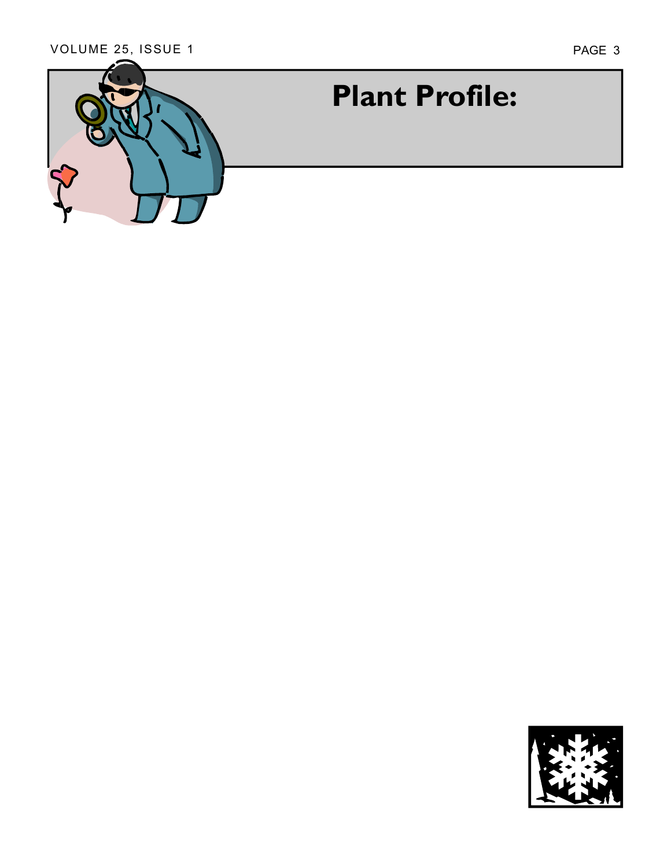

## **Plant Profile:**

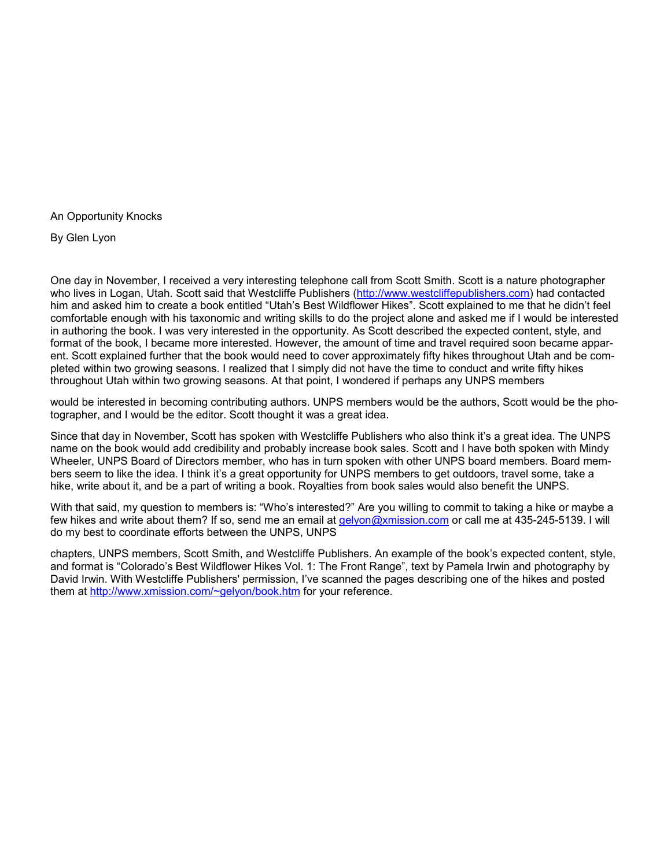An Opportunity Knocks

By Glen Lyon

One day in November, I received a very interesting telephone call from Scott Smith. Scott is a nature photographer who lives in Logan, Utah. Scott said that Westcliffe Publishers (http://www.westcliffepublishers.com) had contacted him and asked him to create a book entitled "Utah's Best Wildflower Hikes". Scott explained to me that he didn't feel comfortable enough with his taxonomic and writing skills to do the project alone and asked me if I would be interested in authoring the book. I was very interested in the opportunity. As Scott described the expected content, style, and format of the book, I became more interested. However, the amount of time and travel required soon became apparent. Scott explained further that the book would need to cover approximately fifty hikes throughout Utah and be completed within two growing seasons. I realized that I simply did not have the time to conduct and write fifty hikes throughout Utah within two growing seasons. At that point, I wondered if perhaps any UNPS members

would be interested in becoming contributing authors. UNPS members would be the authors, Scott would be the photographer, and I would be the editor. Scott thought it was a great idea.

Since that day in November, Scott has spoken with Westcliffe Publishers who also think it's a great idea. The UNPS name on the book would add credibility and probably increase book sales. Scott and I have both spoken with Mindy Wheeler, UNPS Board of Directors member, who has in turn spoken with other UNPS board members. Board members seem to like the idea. I think it's a great opportunity for UNPS members to get outdoors, travel some, take a hike, write about it, and be a part of writing a book. Royalties from book sales would also benefit the UNPS.

With that said, my question to members is: "Who's interested?" Are you willing to commit to taking a hike or maybe a few hikes and write about them? If so, send me an email at gelyon@xmission.com or call me at 435-245-5139. I will do my best to coordinate efforts between the UNPS, UNPS

chapters, UNPS members, Scott Smith, and Westcliffe Publishers. An example of the bookís expected content, style, and format is "Colorado's Best Wildflower Hikes Vol. 1: The Front Range", text by Pamela Irwin and photography by David Irwin. With Westcliffe Publishers' permission, I've scanned the pages describing one of the hikes and posted them at http://www.xmission.com/~gelyon/book.htm for your reference.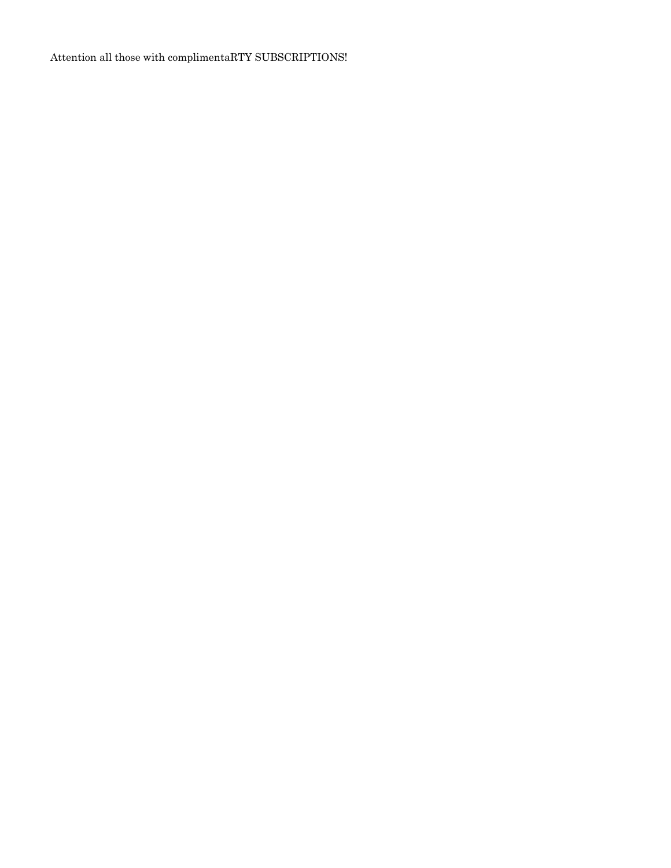Attention all those with complimentaRTY SUBSCRIPTIONS!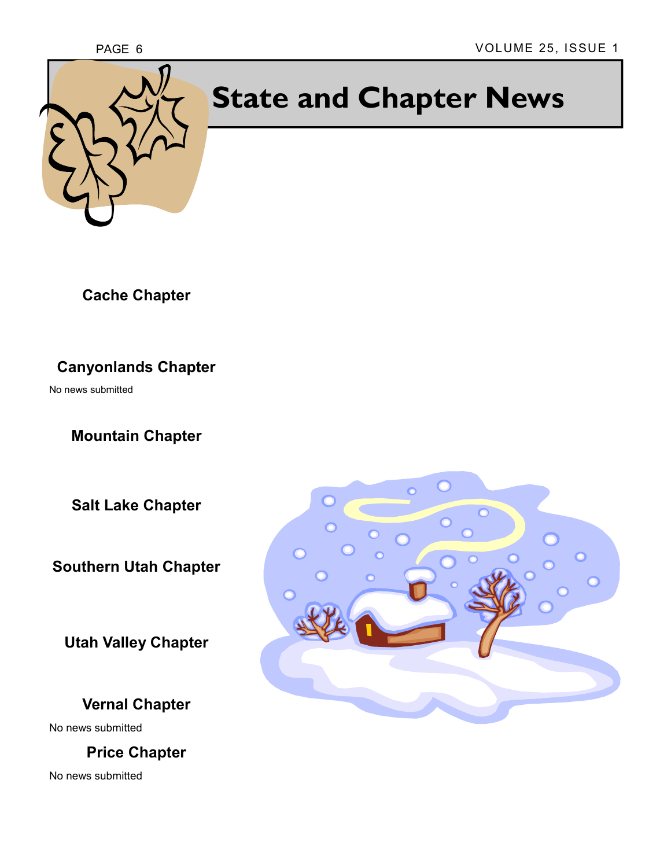

# **State and Chapter News**

**Cache Chapter** 

**Canyonlands Chapter**

No news submitted

**Mountain Chapter**

**Salt Lake Chapter** 

**Southern Utah Chapter** 

**Utah Valley Chapter**

#### **Vernal Chapter**

No news submitted

**Price Chapter** 

No news submitted

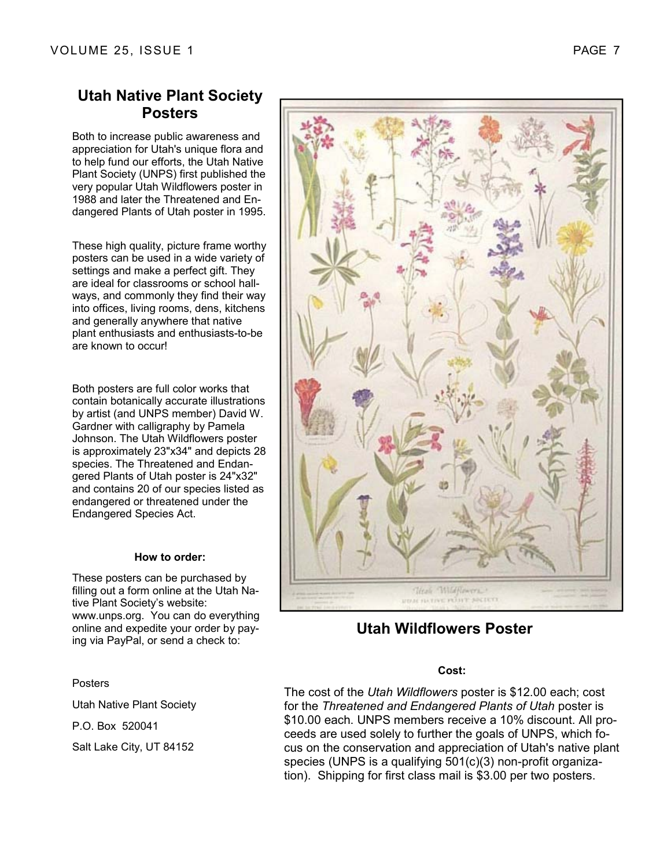#### **Utah Native Plant Society Posters**

Both to increase public awareness and appreciation for Utah's unique flora and to help fund our efforts, the Utah Native Plant Society (UNPS) first published the very popular Utah Wildflowers poster in 1988 and later the Threatened and Endangered Plants of Utah poster in 1995.

These high quality, picture frame worthy posters can be used in a wide variety of settings and make a perfect gift. They are ideal for classrooms or school hallways, and commonly they find their way into offices, living rooms, dens, kitchens and generally anywhere that native plant enthusiasts and enthusiasts-to-be are known to occur!

Both posters are full color works that contain botanically accurate illustrations by artist (and UNPS member) David W. Gardner with calligraphy by Pamela Johnson. The Utah Wildflowers poster is approximately 23"x34" and depicts 28 species. The Threatened and Endangered Plants of Utah poster is 24"x32" and contains 20 of our species listed as endangered or threatened under the Endangered Species Act.

#### **How to order:**

These posters can be purchased by filling out a form online at the Utah Native Plant Society's website: www.unps.org. You can do everything online and expedite your order by paying via PayPal, or send a check to:

#### Posters

Utah Native Plant Society

P.O. Box 520041

Salt Lake City, UT 84152



#### **Utah Wildflowers Poster**

#### **Cost:**

The cost of the *Utah Wildflowers* poster is \$12.00 each; cost for the *Threatened and Endangered Plants of Utah* poster is \$10.00 each. UNPS members receive a 10% discount. All proceeds are used solely to further the goals of UNPS, which focus on the conservation and appreciation of Utah's native plant species (UNPS is a qualifying 501(c)(3) non-profit organization). Shipping for first class mail is \$3.00 per two posters.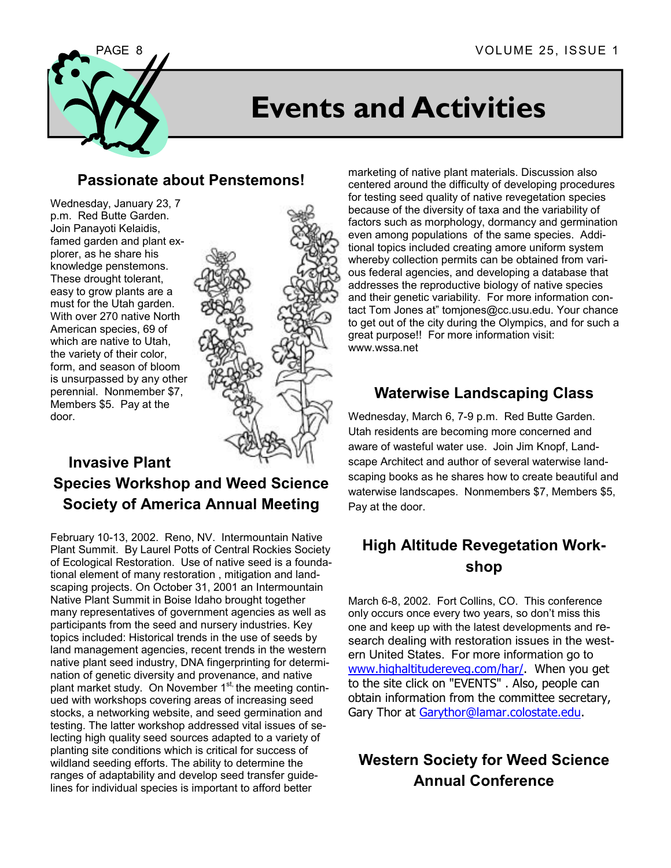

## **Events and Activities**

#### **Passionate about Penstemons!**

Wednesday, January 23, 7 p.m. Red Butte Garden. Join Panayoti Kelaidis, famed garden and plant explorer, as he share his knowledge penstemons. These drought tolerant, easy to grow plants are a must for the Utah garden. With over 270 native North American species, 69 of which are native to Utah, the variety of their color, form, and season of bloom is unsurpassed by any other perennial. Nonmember \$7, Members \$5. Pay at the door.



#### **Invasive Plant Species Workshop and Weed Science Society of America Annual Meeting**

February 10-13, 2002. Reno, NV. Intermountain Native Plant Summit. By Laurel Potts of Central Rockies Society of Ecological Restoration. Use of native seed is a foundational element of many restoration , mitigation and landscaping projects. On October 31, 2001 an Intermountain Native Plant Summit in Boise Idaho brought together many representatives of government agencies as well as participants from the seed and nursery industries. Key topics included: Historical trends in the use of seeds by land management agencies, recent trends in the western native plant seed industry, DNA fingerprinting for determination of genetic diversity and provenance, and native plant market study. On November 1<sup>st,</sup> the meeting continued with workshops covering areas of increasing seed stocks, a networking website, and seed germination and testing. The latter workshop addressed vital issues of selecting high quality seed sources adapted to a variety of planting site conditions which is critical for success of wildland seeding efforts. The ability to determine the ranges of adaptability and develop seed transfer guidelines for individual species is important to afford better

marketing of native plant materials. Discussion also centered around the difficulty of developing procedures for testing seed quality of native revegetation species because of the diversity of taxa and the variability of factors such as morphology, dormancy and germination even among populations of the same species. Additional topics included creating amore uniform system whereby collection permits can be obtained from various federal agencies, and developing a database that addresses the reproductive biology of native species and their genetic variability. For more information contact Tom Jones at" tomjones@cc.usu.edu. Your chance to get out of the city during the Olympics, and for such a great purpose!! For more information visit: www.wssa.net

#### **Waterwise Landscaping Class**

Wednesday, March 6, 7-9 p.m. Red Butte Garden. Utah residents are becoming more concerned and aware of wasteful water use. Join Jim Knopf, Landscape Architect and author of several waterwise landscaping books as he shares how to create beautiful and waterwise landscapes. Nonmembers \$7, Members \$5, Pay at the door.

### **High Altitude Revegetation Workshop**

March 6-8, 2002. Fort Collins, CO. This conference only occurs once every two years, so don't miss this one and keep up with the latest developments and research dealing with restoration issues in the western United States. For more information go to www.highaltitudereveg.com/har/. When you get to the site click on "EVENTS" . Also, people can obtain information from the committee secretary, Gary Thor at Garythor@lamar.colostate.edu.

### **Western Society for Weed Science Annual Conference**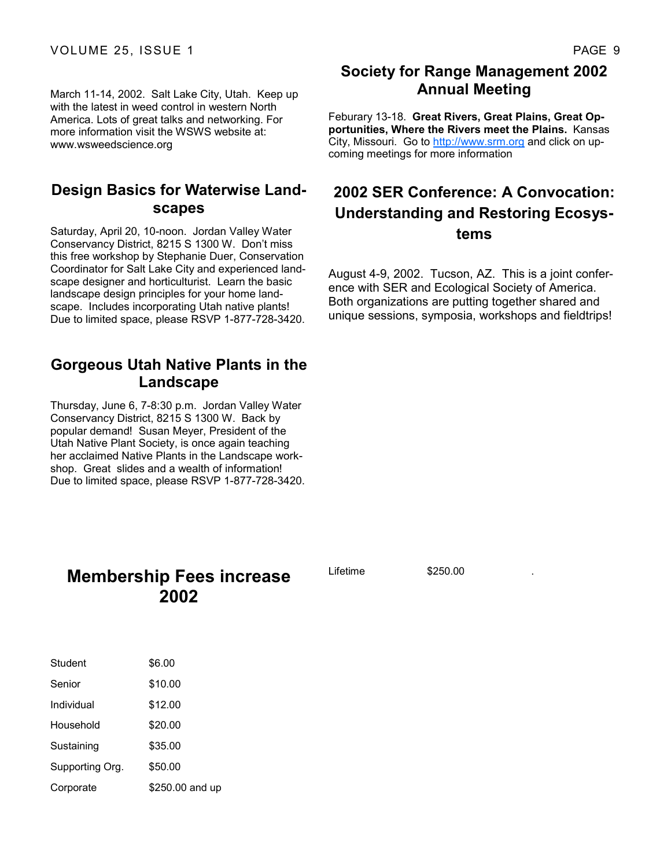March 11-14, 2002. Salt Lake City, Utah. Keep up with the latest in weed control in western North America. Lots of great talks and networking. For more information visit the WSWS website at: www.wsweedscience.org

#### **Design Basics for Waterwise Landscapes**

Saturday, April 20, 10-noon. Jordan Valley Water Conservancy District, 8215 S 1300 W. Donít miss this free workshop by Stephanie Duer, Conservation Coordinator for Salt Lake City and experienced landscape designer and horticulturist. Learn the basic landscape design principles for your home landscape. Includes incorporating Utah native plants! Due to limited space, please RSVP 1-877-728-3420.

#### **Gorgeous Utah Native Plants in the Landscape**

Thursday, June 6, 7-8:30 p.m. Jordan Valley Water Conservancy District, 8215 S 1300 W. Back by popular demand! Susan Meyer, President of the Utah Native Plant Society, is once again teaching her acclaimed Native Plants in the Landscape workshop. Great slides and a wealth of information! Due to limited space, please RSVP 1-877-728-3420.

#### **Society for Range Management 2002 Annual Meeting**

Feburary 13-18. **Great Rivers, Great Plains, Great Opportunities, Where the Rivers meet the Plains.** Kansas City, Missouri. Go to http://www.srm.org and click on upcoming meetings for more information

#### **2002 SER Conference: A Convocation: Understanding and Restoring Ecosystems**

August 4-9, 2002. Tucson, AZ. This is a joint conference with SER and Ecological Society of America. Both organizations are putting together shared and unique sessions, symposia, workshops and fieldtrips!

| <b>Membership Fees increase</b> |      |  |
|---------------------------------|------|--|
|                                 | 2002 |  |

| Student         | \$6.00          |
|-----------------|-----------------|
| Senior          | \$10.00         |
| Individual      | \$12.00         |
| Household       | \$20.00         |
| Sustaining      | \$35.00         |
| Supporting Org. | \$50.00         |
| Corporate       | \$250.00 and up |

Lifetime \$250.00